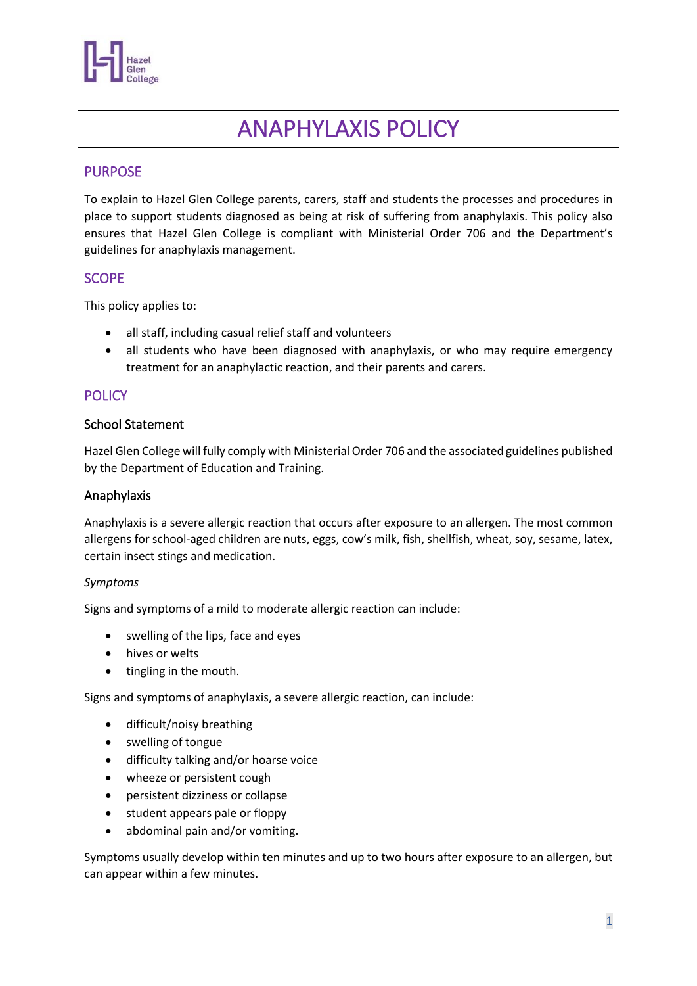

# ANAPHYLAXIS POLICY

# PURPOSE

To explain to Hazel Glen College parents, carers, staff and students the processes and procedures in place to support students diagnosed as being at risk of suffering from anaphylaxis. This policy also ensures that Hazel Glen College is compliant with Ministerial Order 706 and the Department's guidelines for anaphylaxis management.

## **SCOPE**

This policy applies to:

- all staff, including casual relief staff and volunteers
- all students who have been diagnosed with anaphylaxis, or who may require emergency treatment for an anaphylactic reaction, and their parents and carers.

## **POLICY**

#### School Statement

Hazel Glen College will fully comply with Ministerial Order 706 and the associated guidelines published by the Department of Education and Training.

#### Anaphylaxis

Anaphylaxis is a severe allergic reaction that occurs after exposure to an allergen. The most common allergens for school-aged children are nuts, eggs, cow's milk, fish, shellfish, wheat, soy, sesame, latex, certain insect stings and medication.

#### *Symptoms*

Signs and symptoms of a mild to moderate allergic reaction can include:

- swelling of the lips, face and eyes
- hives or welts
- tingling in the mouth.

Signs and symptoms of anaphylaxis, a severe allergic reaction, can include:

- difficult/noisy breathing
- swelling of tongue
- difficulty talking and/or hoarse voice
- wheeze or persistent cough
- persistent dizziness or collapse
- student appears pale or floppy
- abdominal pain and/or vomiting.

Symptoms usually develop within ten minutes and up to two hours after exposure to an allergen, but can appear within a few minutes.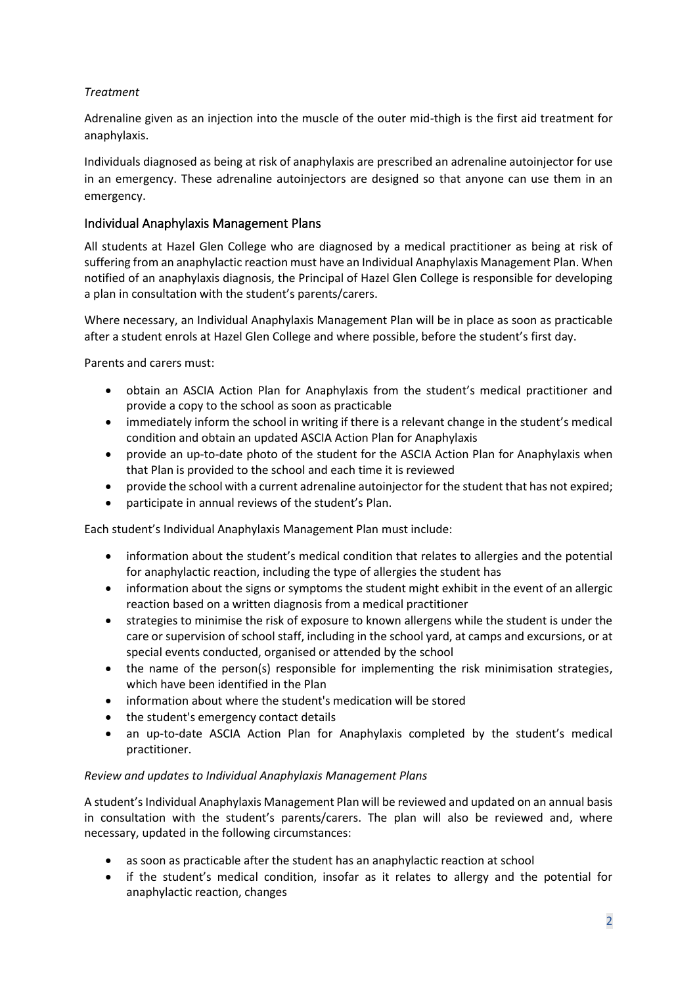## *Treatment*

Adrenaline given as an injection into the muscle of the outer mid-thigh is the first aid treatment for anaphylaxis.

Individuals diagnosed as being at risk of anaphylaxis are prescribed an adrenaline autoinjector for use in an emergency. These adrenaline autoinjectors are designed so that anyone can use them in an emergency.

## Individual Anaphylaxis Management Plans

All students at Hazel Glen College who are diagnosed by a medical practitioner as being at risk of suffering from an anaphylactic reaction must have an Individual Anaphylaxis Management Plan. When notified of an anaphylaxis diagnosis, the Principal of Hazel Glen College is responsible for developing a plan in consultation with the student's parents/carers.

Where necessary, an Individual Anaphylaxis Management Plan will be in place as soon as practicable after a student enrols at Hazel Glen College and where possible, before the student's first day.

Parents and carers must:

- obtain an ASCIA Action Plan for Anaphylaxis from the student's medical practitioner and provide a copy to the school as soon as practicable
- immediately inform the school in writing if there is a relevant change in the student's medical condition and obtain an updated ASCIA Action Plan for Anaphylaxis
- provide an up-to-date photo of the student for the ASCIA Action Plan for Anaphylaxis when that Plan is provided to the school and each time it is reviewed
- provide the school with a current adrenaline autoinjector for the student that has not expired;
- participate in annual reviews of the student's Plan.

Each student's Individual Anaphylaxis Management Plan must include:

- information about the student's medical condition that relates to allergies and the potential for anaphylactic reaction, including the type of allergies the student has
- information about the signs or symptoms the student might exhibit in the event of an allergic reaction based on a written diagnosis from a medical practitioner
- strategies to minimise the risk of exposure to known allergens while the student is under the care or supervision of school staff, including in the school yard, at camps and excursions, or at special events conducted, organised or attended by the school
- the name of the person(s) responsible for implementing the risk minimisation strategies, which have been identified in the Plan
- information about where the student's medication will be stored
- the student's emergency contact details
- an up-to-date ASCIA Action Plan for Anaphylaxis completed by the student's medical practitioner.

#### *Review and updates to Individual Anaphylaxis Management Plans*

A student's Individual Anaphylaxis Management Plan will be reviewed and updated on an annual basis in consultation with the student's parents/carers. The plan will also be reviewed and, where necessary, updated in the following circumstances:

- as soon as practicable after the student has an anaphylactic reaction at school
- if the student's medical condition, insofar as it relates to allergy and the potential for anaphylactic reaction, changes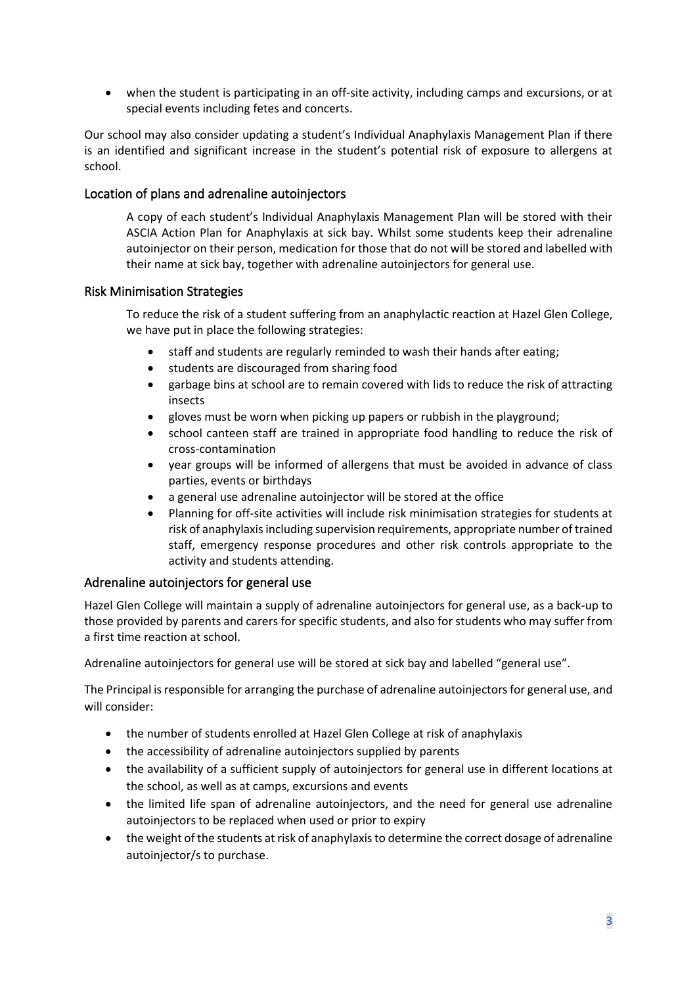• when the student is participating in an off-site activity, including camps and excursions, or at special events including fetes and concerts.

Our school may also consider updating a student's Individual Anaphylaxis Management Plan if there is an identified and significant increase in the student's potential risk of exposure to allergens at school.

#### Location of plans and adrenaline autoinjectors

A copy of each student's Individual Anaphylaxis Management Plan will be stored with their ASCIA Action Plan for Anaphylaxis at sick bay. Whilst some students keep their adrenaline autoinjector on their person, medication for those that do not will be stored and labelled with their name at sick bay, together with adrenaline autoinjectors for general use.

#### Risk Minimisation Strategies

To reduce the risk of a student suffering from an anaphylactic reaction at Hazel Glen College, we have put in place the following strategies:

- staff and students are regularly reminded to wash their hands after eating;
- students are discouraged from sharing food
- garbage bins at school are to remain covered with lids to reduce the risk of attracting insects
- gloves must be worn when picking up papers or rubbish in the playground;
- school canteen staff are trained in appropriate food handling to reduce the risk of cross-contamination
- year groups will be informed of allergens that must be avoided in advance of class parties, events or birthdays
- a general use adrenaline autoinjector will be stored at the office
- Planning for off-site activities will include risk minimisation strategies for students at risk of anaphylaxis including supervision requirements, appropriate number of trained staff, emergency response procedures and other risk controls appropriate to the activity and students attending.

## Adrenaline autoinjectors for general use

Hazel Glen College will maintain a supply of adrenaline autoinjectors for general use, as a back-up to those provided by parents and carers for specific students, and also for students who may suffer from a first time reaction at school.

Adrenaline autoinjectors for general use will be stored at sick bay and labelled "general use".

The Principal is responsible for arranging the purchase of adrenaline autoinjectors for general use, and will consider:

- the number of students enrolled at Hazel Glen College at risk of anaphylaxis
- the accessibility of adrenaline autoinjectors supplied by parents
- the availability of a sufficient supply of autoinjectors for general use in different locations at the school, as well as at camps, excursions and events
- the limited life span of adrenaline autoinjectors, and the need for general use adrenaline autoinjectors to be replaced when used or prior to expiry
- the weight of the students at risk of anaphylaxis to determine the correct dosage of adrenaline autoinjector/s to purchase.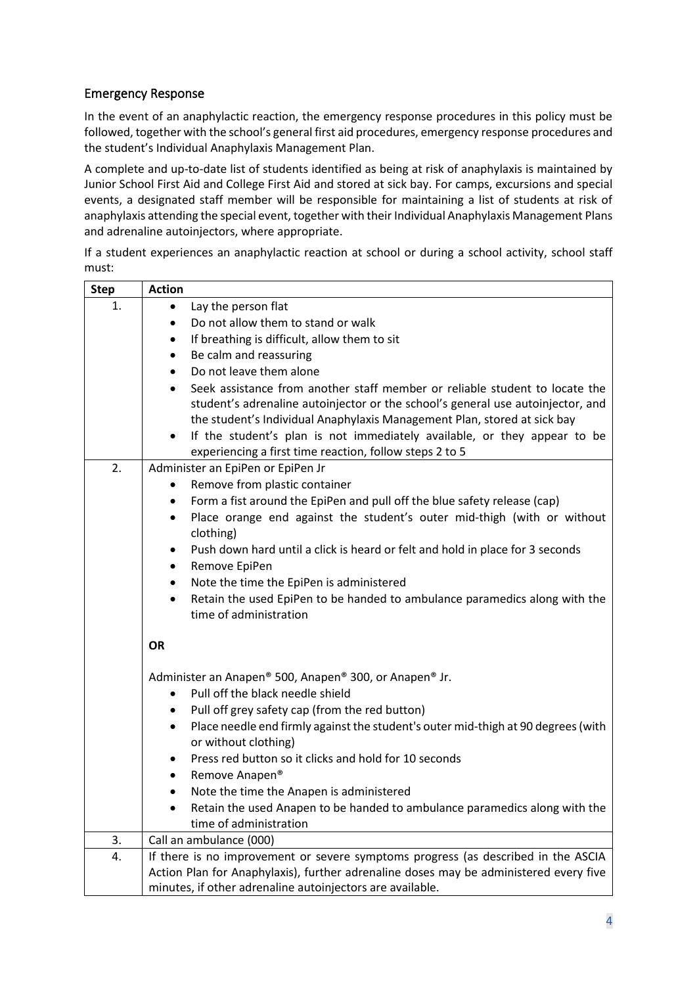# Emergency Response

In the event of an anaphylactic reaction, the emergency response procedures in this policy must be followed, together with the school's general first aid procedures, emergency response procedures and the student's Individual Anaphylaxis Management Plan.

A complete and up-to-date list of students identified as being at risk of anaphylaxis is maintained by Junior School First Aid and College First Aid and stored at sick bay. For camps, excursions and special events, a designated staff member will be responsible for maintaining a list of students at risk of anaphylaxis attending the special event, together with their Individual Anaphylaxis Management Plans and adrenaline autoinjectors, where appropriate.

If a student experiences an anaphylactic reaction at school or during a school activity, school staff must:

| <b>Step</b> | <b>Action</b>                                                                                  |
|-------------|------------------------------------------------------------------------------------------------|
| 1.          | Lay the person flat<br>$\bullet$                                                               |
|             | Do not allow them to stand or walk<br>$\bullet$                                                |
|             | If breathing is difficult, allow them to sit<br>$\bullet$                                      |
|             | Be calm and reassuring<br>$\bullet$                                                            |
|             | Do not leave them alone<br>$\bullet$                                                           |
|             | Seek assistance from another staff member or reliable student to locate the                    |
|             | student's adrenaline autoinjector or the school's general use autoinjector, and                |
|             | the student's Individual Anaphylaxis Management Plan, stored at sick bay                       |
|             | If the student's plan is not immediately available, or they appear to be<br>$\bullet$          |
|             | experiencing a first time reaction, follow steps 2 to 5                                        |
| 2.          | Administer an EpiPen or EpiPen Jr                                                              |
|             | Remove from plastic container                                                                  |
|             | Form a fist around the EpiPen and pull off the blue safety release (cap)<br>$\bullet$          |
|             | Place orange end against the student's outer mid-thigh (with or without<br>$\bullet$           |
|             | clothing)                                                                                      |
|             | Push down hard until a click is heard or felt and hold in place for 3 seconds<br>$\bullet$     |
|             | Remove EpiPen<br>$\bullet$                                                                     |
|             | Note the time the EpiPen is administered<br>$\bullet$                                          |
|             | Retain the used EpiPen to be handed to ambulance paramedics along with the<br>$\bullet$        |
|             | time of administration                                                                         |
|             | <b>OR</b>                                                                                      |
|             |                                                                                                |
|             | Administer an Anapen® 500, Anapen® 300, or Anapen® Jr.                                         |
|             | Pull off the black needle shield<br>$\bullet$                                                  |
|             | Pull off grey safety cap (from the red button)<br>٠                                            |
|             | Place needle end firmly against the student's outer mid-thigh at 90 degrees (with<br>$\bullet$ |
|             | or without clothing)                                                                           |
|             | Press red button so it clicks and hold for 10 seconds<br>٠                                     |
|             | Remove Anapen®<br>$\bullet$                                                                    |
|             | Note the time the Anapen is administered<br>$\bullet$                                          |
|             | Retain the used Anapen to be handed to ambulance paramedics along with the                     |
|             | time of administration                                                                         |
| 3.          | Call an ambulance (000)                                                                        |
| 4.          | If there is no improvement or severe symptoms progress (as described in the ASCIA              |
|             | Action Plan for Anaphylaxis), further adrenaline doses may be administered every five          |
|             | minutes, if other adrenaline autoinjectors are available.                                      |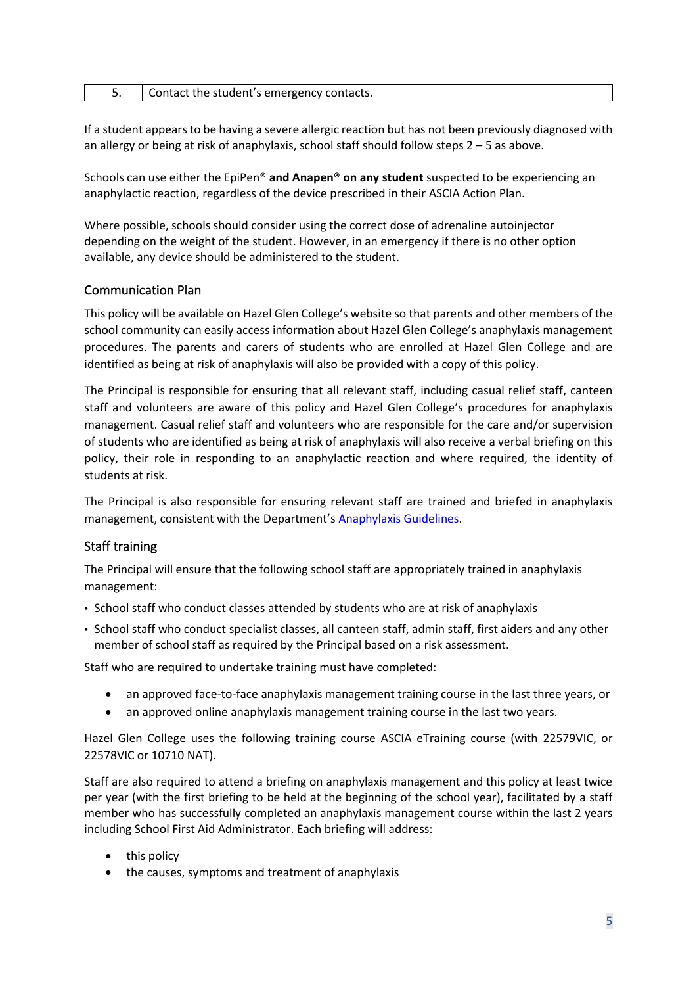|  | Contact the student's emergency contacts. |
|--|-------------------------------------------|
|--|-------------------------------------------|

If a student appears to be having a severe allergic reaction but has not been previously diagnosed with an allergy or being at risk of anaphylaxis, school staff should follow steps 2 – 5 as above.

Schools can use either the EpiPen® **and Anapen® on any student** suspected to be experiencing an anaphylactic reaction, regardless of the device prescribed in their ASCIA Action Plan.

Where possible, schools should consider using the correct dose of adrenaline autoinjector depending on the weight of the student. However, in an emergency if there is no other option available, any device should be administered to the student.

## Communication Plan

This policy will be available on Hazel Glen College's website so that parents and other members of the school community can easily access information about Hazel Glen College's anaphylaxis management procedures. The parents and carers of students who are enrolled at Hazel Glen College and are identified as being at risk of anaphylaxis will also be provided with a copy of this policy.

The Principal is responsible for ensuring that all relevant staff, including casual relief staff, canteen staff and volunteers are aware of this policy and Hazel Glen College's procedures for anaphylaxis management. Casual relief staff and volunteers who are responsible for the care and/or supervision of students who are identified as being at risk of anaphylaxis will also receive a verbal briefing on this policy, their role in responding to an anaphylactic reaction and where required, the identity of students at risk.

The Principal is also responsible for ensuring relevant staff are trained and briefed in anaphylaxis management, consistent with the Department's [Anaphylaxis Guidelines.](https://www2.education.vic.gov.au/pal/anaphylaxis/guidance)

#### Staff training

The Principal will ensure that the following school staff are appropriately trained in anaphylaxis management:

- School staff who conduct classes attended by students who are at risk of anaphylaxis
- School staff who conduct specialist classes, all canteen staff, admin staff, first aiders and any other member of school staff as required by the Principal based on a risk assessment.

Staff who are required to undertake training must have completed:

- an approved face-to-face anaphylaxis management training course in the last three years, or
- an approved online anaphylaxis management training course in the last two years.

Hazel Glen College uses the following training course ASCIA eTraining course (with 22579VIC, or 22578VIC or 10710 NAT).

Staff are also required to attend a briefing on anaphylaxis management and this policy at least twice per year (with the first briefing to be held at the beginning of the school year), facilitated by a staff member who has successfully completed an anaphylaxis management course within the last 2 years including School First Aid Administrator. Each briefing will address:

- this policy
- the causes, symptoms and treatment of anaphylaxis